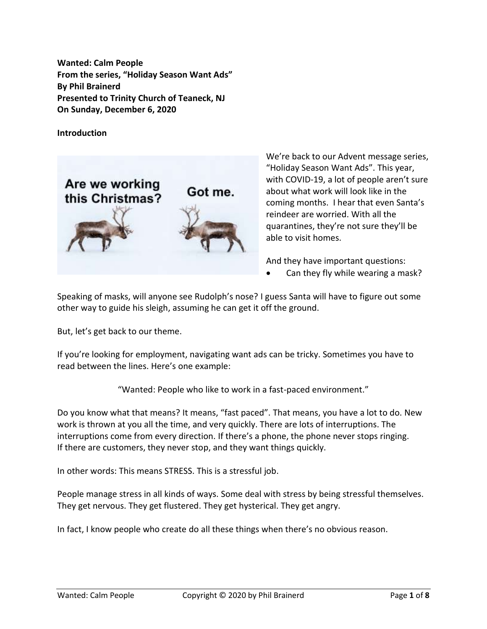**Wanted: Calm People From the series, "Holiday Season Want Ads" By Phil Brainerd Presented to Trinity Church of Teaneck, NJ On Sunday, December 6, 2020**

**Introduction**



We're back to our Advent message series, "Holiday Season Want Ads". This year, with COVID-19, a lot of people aren't sure about what work will look like in the coming months. I hear that even Santa's reindeer are worried. With all the quarantines, they're not sure they'll be able to visit homes.

And they have important questions:

Can they fly while wearing a mask?

Speaking of masks, will anyone see Rudolph's nose? I guess Santa will have to figure out some other way to guide his sleigh, assuming he can get it off the ground.

But, let's get back to our theme.

If you're looking for employment, navigating want ads can be tricky. Sometimes you have to read between the lines. Here's one example:

"Wanted: People who like to work in a fast-paced environment."

Do you know what that means? It means, "fast paced". That means, you have a lot to do. New work is thrown at you all the time, and very quickly. There are lots of interruptions. The interruptions come from every direction. If there's a phone, the phone never stops ringing. If there are customers, they never stop, and they want things quickly.

In other words: This means STRESS. This is a stressful job.

People manage stress in all kinds of ways. Some deal with stress by being stressful themselves. They get nervous. They get flustered. They get hysterical. They get angry.

In fact, I know people who create do all these things when there's no obvious reason.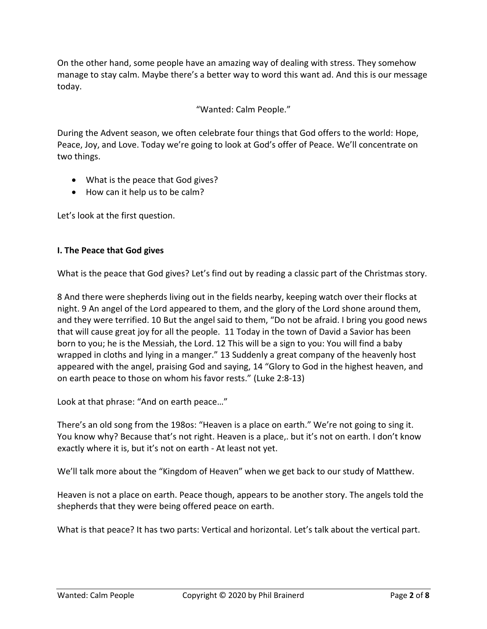On the other hand, some people have an amazing way of dealing with stress. They somehow manage to stay calm. Maybe there's a better way to word this want ad. And this is our message today.

# "Wanted: Calm People."

During the Advent season, we often celebrate four things that God offers to the world: Hope, Peace, Joy, and Love. Today we're going to look at God's offer of Peace. We'll concentrate on two things.

- What is the peace that God gives?
- How can it help us to be calm?

Let's look at the first question.

### **I. The Peace that God gives**

What is the peace that God gives? Let's find out by reading a classic part of the Christmas story.

8 And there were shepherds living out in the fields nearby, keeping watch over their flocks at night. 9 An angel of the Lord appeared to them, and the glory of the Lord shone around them, and they were terrified. 10 But the angel said to them, "Do not be afraid. I bring you good news that will cause great joy for all the people. 11 Today in the town of David a Savior has been born to you; he is the Messiah, the Lord. 12 This will be a sign to you: You will find a baby wrapped in cloths and lying in a manger." 13 Suddenly a great company of the heavenly host appeared with the angel, praising God and saying, 14 "Glory to God in the highest heaven, and on earth peace to those on whom his favor rests." (Luke 2:8-13)

Look at that phrase: "And on earth peace…"

There's an old song from the 198os: "Heaven is a place on earth." We're not going to sing it. You know why? Because that's not right. Heaven is a place,. but it's not on earth. I don't know exactly where it is, but it's not on earth - At least not yet.

We'll talk more about the "Kingdom of Heaven" when we get back to our study of Matthew.

Heaven is not a place on earth. Peace though, appears to be another story. The angels told the shepherds that they were being offered peace on earth.

What is that peace? It has two parts: Vertical and horizontal. Let's talk about the vertical part.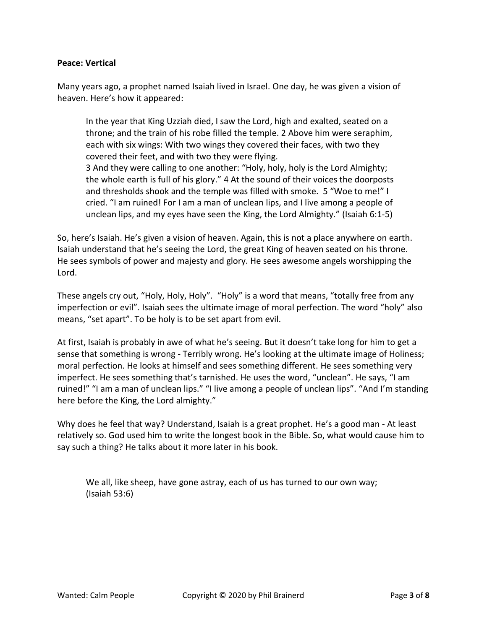#### **Peace: Vertical**

Many years ago, a prophet named Isaiah lived in Israel. One day, he was given a vision of heaven. Here's how it appeared:

In the year that King Uzziah died, I saw the Lord, high and exalted, seated on a throne; and the train of his robe filled the temple. 2 Above him were seraphim, each with six wings: With two wings they covered their faces, with two they covered their feet, and with two they were flying. 3 And they were calling to one another: "Holy, holy, holy is the Lord Almighty; the whole earth is full of his glory." 4 At the sound of their voices the doorposts and thresholds shook and the temple was filled with smoke. 5 "Woe to me!" I cried. "I am ruined! For I am a man of unclean lips, and I live among a people of unclean lips, and my eyes have seen the King, the Lord Almighty." (Isaiah 6:1-5)

So, here's Isaiah. He's given a vision of heaven. Again, this is not a place anywhere on earth. Isaiah understand that he's seeing the Lord, the great King of heaven seated on his throne. He sees symbols of power and majesty and glory. He sees awesome angels worshipping the Lord.

These angels cry out, "Holy, Holy, Holy". "Holy" is a word that means, "totally free from any imperfection or evil". Isaiah sees the ultimate image of moral perfection. The word "holy" also means, "set apart". To be holy is to be set apart from evil.

At first, Isaiah is probably in awe of what he's seeing. But it doesn't take long for him to get a sense that something is wrong - Terribly wrong. He's looking at the ultimate image of Holiness; moral perfection. He looks at himself and sees something different. He sees something very imperfect. He sees something that's tarnished. He uses the word, "unclean". He says, "I am ruined!" "I am a man of unclean lips." "I live among a people of unclean lips". "And I'm standing here before the King, the Lord almighty."

Why does he feel that way? Understand, Isaiah is a great prophet. He's a good man - At least relatively so. God used him to write the longest book in the Bible. So, what would cause him to say such a thing? He talks about it more later in his book.

We all, like sheep, have gone astray, each of us has turned to our own way; (Isaiah 53:6)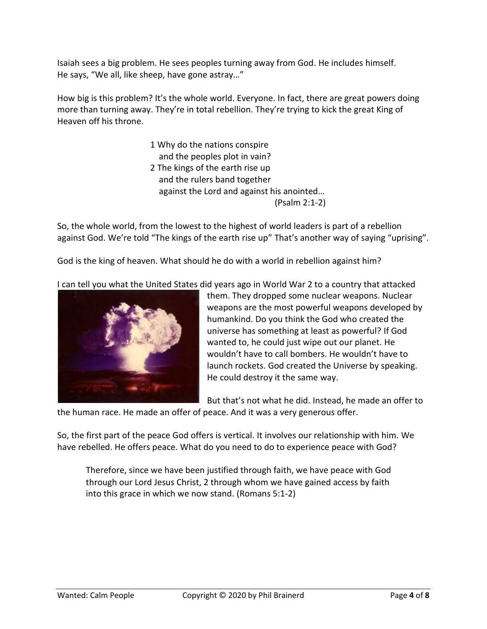Isaiah sees a big problem. He sees peoples turning away from God. He includes himself. He says, "We all, like sheep, have gone astray…"

How big is this problem? It's the whole world. Everyone. In fact, there are great powers doing more than turning away. They're in total rebellion. They're trying to kick the great King of Heaven off his throne.

> 1 Why do the nations conspire and the peoples plot in vain? 2 The kings of the earth rise up and the rulers band together against the Lord and against his anointed… (Psalm 2:1-2)

So, the whole world, from the lowest to the highest of world leaders is part of a rebellion against God. We're told "The kings of the earth rise up" That's another way of saying "uprising".

God is the king of heaven. What should he do with a world in rebellion against him?

I can tell you what the United States did years ago in World War 2 to a country that attacked



them. They dropped some nuclear weapons. Nuclear weapons are the most powerful weapons developed by humankind. Do you think the God who created the universe has something at least as powerful? If God wanted to, he could just wipe out our planet. He wouldn't have to call bombers. He wouldn't have to launch rockets. God created the Universe by speaking. He could destroy it the same way.

But that's not what he did. Instead, he made an offer to

the human race. He made an offer of peace. And it was a very generous offer.

So, the first part of the peace God offers is vertical. It involves our relationship with him. We have rebelled. He offers peace. What do you need to do to experience peace with God?

Therefore, since we have been justified through faith, we have peace with God through our Lord Jesus Christ, 2 through whom we have gained access by faith into this grace in which we now stand. (Romans 5:1-2)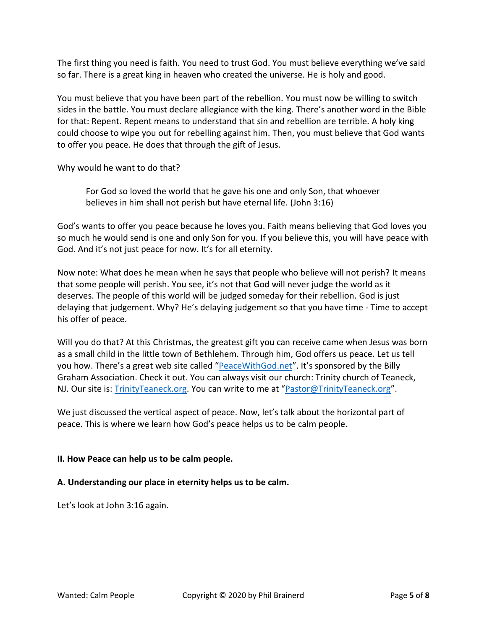The first thing you need is faith. You need to trust God. You must believe everything we've said so far. There is a great king in heaven who created the universe. He is holy and good.

You must believe that you have been part of the rebellion. You must now be willing to switch sides in the battle. You must declare allegiance with the king. There's another word in the Bible for that: Repent. Repent means to understand that sin and rebellion are terrible. A holy king could choose to wipe you out for rebelling against him. Then, you must believe that God wants to offer you peace. He does that through the gift of Jesus.

Why would he want to do that?

For God so loved the world that he gave his one and only Son, that whoever believes in him shall not perish but have eternal life. (John 3:16)

God's wants to offer you peace because he loves you. Faith means believing that God loves you so much he would send is one and only Son for you. If you believe this, you will have peace with God. And it's not just peace for now. It's for all eternity.

Now note: What does he mean when he says that people who believe will not perish? It means that some people will perish. You see, it's not that God will never judge the world as it deserves. The people of this world will be judged someday for their rebellion. God is just delaying that judgement. Why? He's delaying judgement so that you have time - Time to accept his offer of peace.

Will you do that? At this Christmas, the greatest gift you can receive came when Jesus was born as a small child in the little town of Bethlehem. Through him, God offers us peace. Let us tell you how. There's a great web site called "[PeaceWithGod.net](https://peacewithgod.net/)". It's sponsored by the Billy Graham Association. Check it out. You can always visit our church: Trinity church of Teaneck, NJ. Our site is: [TrinityTeaneck.org.](https://trinityteaneck.org/) You can write to me at "[Pastor@TrinityTeaneck.org](mailto:Pastor@TrinityTeaneck.org)".

We just discussed the vertical aspect of peace. Now, let's talk about the horizontal part of peace. This is where we learn how God's peace helps us to be calm people.

## **II. How Peace can help us to be calm people.**

## **A. Understanding our place in eternity helps us to be calm.**

Let's look at John 3:16 again.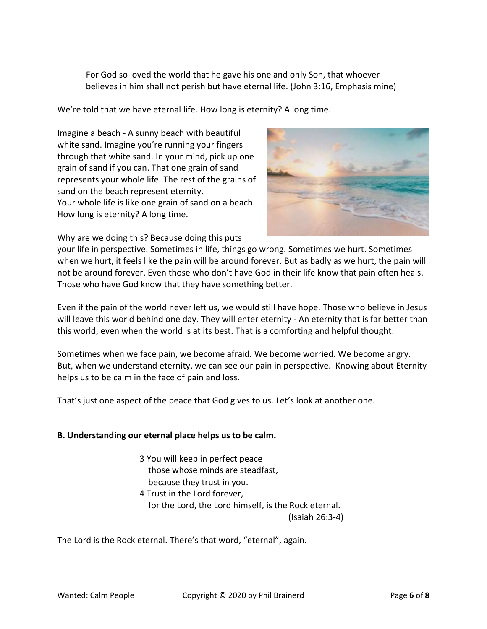For God so loved the world that he gave his one and only Son, that whoever believes in him shall not perish but have eternal life. (John 3:16, Emphasis mine)

We're told that we have eternal life. How long is eternity? A long time.

Imagine a beach - A sunny beach with beautiful white sand. Imagine you're running your fingers through that white sand. In your mind, pick up one grain of sand if you can. That one grain of sand represents your whole life. The rest of the grains of sand on the beach represent eternity. Your whole life is like one grain of sand on a beach. How long is eternity? A long time.



Why are we doing this? Because doing this puts

your life in perspective. Sometimes in life, things go wrong. Sometimes we hurt. Sometimes when we hurt, it feels like the pain will be around forever. But as badly as we hurt, the pain will not be around forever. Even those who don't have God in their life know that pain often heals. Those who have God know that they have something better.

Even if the pain of the world never left us, we would still have hope. Those who believe in Jesus will leave this world behind one day. They will enter eternity - An eternity that is far better than this world, even when the world is at its best. That is a comforting and helpful thought.

Sometimes when we face pain, we become afraid. We become worried. We become angry. But, when we understand eternity, we can see our pain in perspective. Knowing about Eternity helps us to be calm in the face of pain and loss.

That's just one aspect of the peace that God gives to us. Let's look at another one.

#### **B. Understanding our eternal place helps us to be calm.**

- 3 You will keep in perfect peace those whose minds are steadfast, because they trust in you.
- 4 Trust in the Lord forever,
	- for the Lord, the Lord himself, is the Rock eternal.

(Isaiah 26:3-4)

The Lord is the Rock eternal. There's that word, "eternal", again.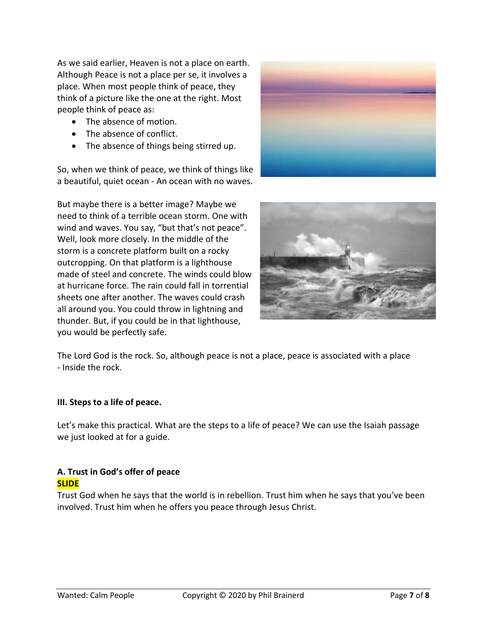As we said earlier, Heaven is not a place on earth. Although Peace is not a place per se, it involves a place. When most people think of peace, they think of a picture like the one at the right. Most people think of peace as:

- The absence of motion.
- The absence of conflict.
- The absence of things being stirred up.

So, when we think of peace, we think of things like a beautiful, quiet ocean - An ocean with no waves.

But maybe there is a better image? Maybe we need to think of a terrible ocean storm. One with wind and waves. You say, "but that's not peace". Well, look more closely. In the middle of the storm is a concrete platform built on a rocky outcropping. On that platform is a lighthouse made of steel and concrete. The winds could blow at hurricane force. The rain could fall in torrential sheets one after another. The waves could crash all around you. You could throw in lightning and thunder. But, if you could be in that lighthouse, you would be perfectly safe.





The Lord God is the rock. So, although peace is not a place, peace is associated with a place - Inside the rock.

#### **III. Steps to a life of peace.**

Let's make this practical. What are the steps to a life of peace? We can use the Isaiah passage we just looked at for a guide.

## **A. Trust in God's offer of peace SLIDE**

Trust God when he says that the world is in rebellion. Trust him when he says that you've been involved. Trust him when he offers you peace through Jesus Christ.